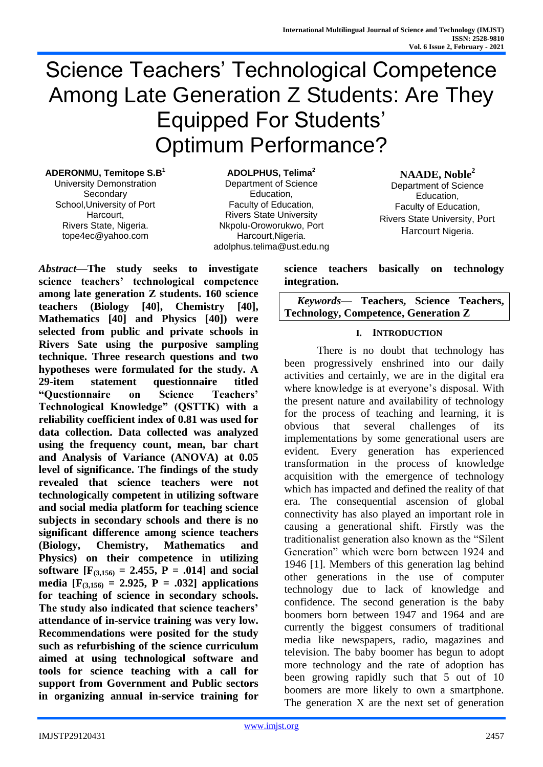# Science Teachers' Technological Competence Among Late Generation Z Students: Are They Equipped For Students' Optimum Performance?

**ADERONMU, Temitope S.B<sup>1</sup>**

University Demonstration **Secondary** School,University of Port Harcourt, Rivers State, Nigeria. tope4ec@yahoo.com

**ADOLPHUS, Telima<sup>2</sup>** Department of Science Education, Faculty of Education, Rivers State University Nkpolu-Oroworukwo, Port Harcourt,Nigeria. adolphus.telima@ust.edu.ng

#### **NAADE, Noble<sup>2</sup>**

Department of Science Education, Faculty of Education, Rivers State University, Port Harcourt Nigeria.

*Abstract***—The study seeks to investigate science teachers' technological competence among late generation Z students. 160 science teachers (Biology [40], Chemistry [40], Mathematics [40] and Physics [40]) were selected from public and private schools in Rivers Sate using the purposive sampling technique. Three research questions and two hypotheses were formulated for the study. A 29-item statement questionnaire titled "Questionnaire on Science Teachers' Technological Knowledge" (QSTTK) with a reliability coefficient index of 0.81 was used for data collection. Data collected was analyzed using the frequency count, mean, bar chart and Analysis of Variance (ANOVA) at 0.05 level of significance. The findings of the study revealed that science teachers were not technologically competent in utilizing software and social media platform for teaching science subjects in secondary schools and there is no significant difference among science teachers (Biology, Chemistry, Mathematics and Physics) on their competence in utilizing software**  $[F_{(3,156)} = 2.455, P = .014]$  and social **media**  $[F_{(3,156)} = 2.925, P = .032]$  applications **for teaching of science in secondary schools. The study also indicated that science teachers' attendance of in-service training was very low. Recommendations were posited for the study such as refurbishing of the science curriculum aimed at using technological software and tools for science teaching with a call for support from Government and Public sectors in organizing annual in-service training for** 

**science teachers basically on technology integration.** 

*Keywords—* **Teachers, Science Teachers, Technology, Competence, Generation Z**

#### **I. INTRODUCTION**

There is no doubt that technology has been progressively enshrined into our daily activities and certainly, we are in the digital era where knowledge is at everyone's disposal. With the present nature and availability of technology for the process of teaching and learning, it is obvious that several challenges of its implementations by some generational users are evident. Every generation has experienced transformation in the process of knowledge acquisition with the emergence of technology which has impacted and defined the reality of that era. The consequential ascension of global connectivity has also played an important role in causing a generational shift. Firstly was the traditionalist generation also known as the "Silent Generation" which were born between 1924 and 1946 [1]. Members of this generation lag behind other generations in the use of computer technology due to lack of knowledge and confidence. The second generation is the baby boomers born between 1947 and 1964 and are currently the biggest consumers of traditional media like newspapers, radio, magazines and television. The baby boomer has begun to adopt more technology and the rate of adoption has been growing rapidly such that 5 out of 10 boomers are more likely to own a smartphone. The generation X are the next set of generation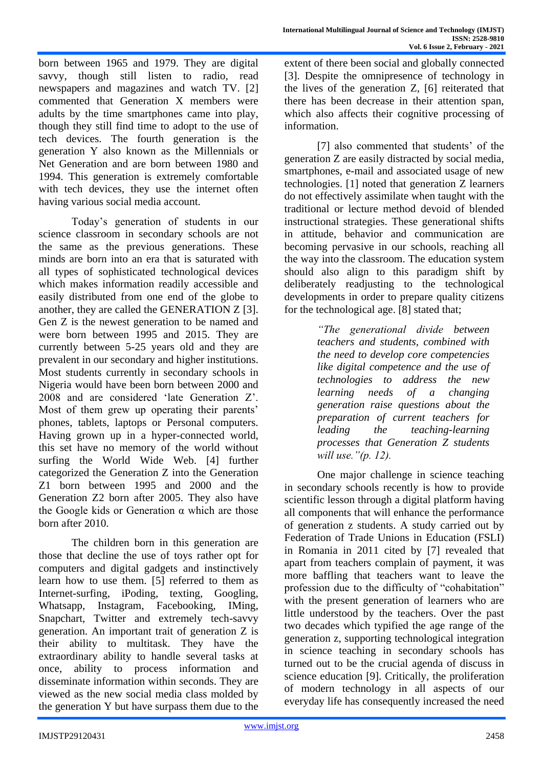born between 1965 and 1979. They are digital savvy, though still listen to radio, read newspapers and magazines and watch TV. [2] commented that Generation X members were adults by the time smartphones came into play, though they still find time to adopt to the use of tech devices. The fourth generation is the generation Y also known as the Millennials or Net Generation and are born between 1980 and 1994. This generation is extremely comfortable with tech devices, they use the internet often having various social media account.

Today's generation of students in our science classroom in secondary schools are not the same as the previous generations. These minds are born into an era that is saturated with all types of sophisticated technological devices which makes information readily accessible and easily distributed from one end of the globe to another, they are called the GENERATION Z [3]. Gen Z is the newest generation to be named and were born between 1995 and 2015. They are currently between 5-25 years old and they are prevalent in our secondary and higher institutions. Most students currently in secondary schools in Nigeria would have been born between 2000 and 2008 and are considered 'late Generation Z'. Most of them grew up operating their parents' phones, tablets, laptops or Personal computers. Having grown up in a hyper-connected world, this set have no memory of the world without surfing the World Wide Web. [4] further categorized the Generation Z into the Generation Z1 born between 1995 and 2000 and the Generation Z2 born after 2005. They also have the Google kids or Generation α which are those born after 2010.

The children born in this generation are those that decline the use of toys rather opt for computers and digital gadgets and instinctively learn how to use them. [5] referred to them as Internet-surfing, iPoding, texting, Googling, Whatsapp, Instagram, Facebooking, IMing, Snapchart, Twitter and extremely tech-savvy generation. An important trait of generation Z is their ability to multitask. They have the extraordinary ability to handle several tasks at once, ability to process information and disseminate information within seconds. They are viewed as the new social media class molded by the generation Y but have surpass them due to the extent of there been social and globally connected [3]. Despite the omnipresence of technology in the lives of the generation Z, [6] reiterated that there has been decrease in their attention span, which also affects their cognitive processing of information.

[7] also commented that students' of the generation Z are easily distracted by social media, smartphones, e-mail and associated usage of new technologies. [1] noted that generation Z learners do not effectively assimilate when taught with the traditional or lecture method devoid of blended instructional strategies. These generational shifts in attitude, behavior and communication are becoming pervasive in our schools, reaching all the way into the classroom. The education system should also align to this paradigm shift by deliberately readjusting to the technological developments in order to prepare quality citizens for the technological age. [8] stated that;

> *"The generational divide between teachers and students, combined with the need to develop core competencies like digital competence and the use of technologies to address the new learning needs of a changing generation raise questions about the preparation of current teachers for leading the teaching-learning processes that Generation Z students will use."(p. 12).*

One major challenge in science teaching in secondary schools recently is how to provide scientific lesson through a digital platform having all components that will enhance the performance of generation z students. A study carried out by Federation of Trade Unions in Education (FSLI) in Romania in 2011 cited by [7] revealed that apart from teachers complain of payment, it was more baffling that teachers want to leave the profession due to the difficulty of "cohabitation" with the present generation of learners who are little understood by the teachers. Over the past two decades which typified the age range of the generation z, supporting technological integration in science teaching in secondary schools has turned out to be the crucial agenda of discuss in science education [9]. Critically, the proliferation of modern technology in all aspects of our everyday life has consequently increased the need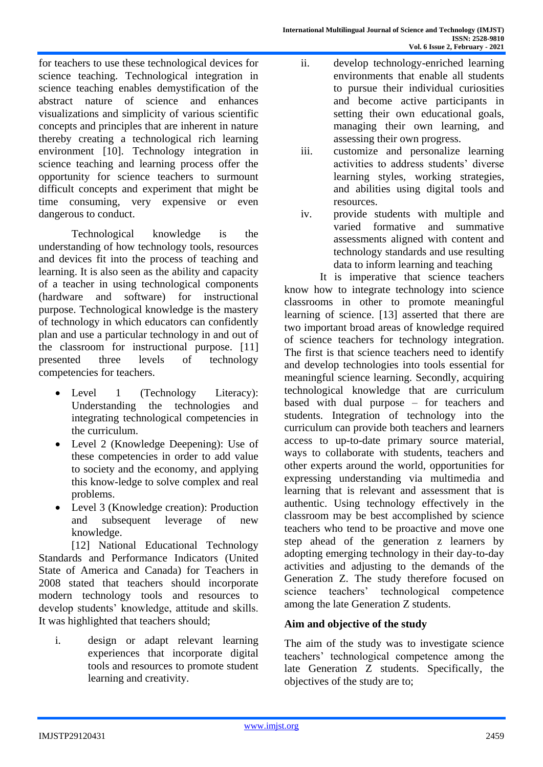for teachers to use these technological devices for science teaching. Technological integration in science teaching enables demystification of the abstract nature of science and enhances visualizations and simplicity of various scientific concepts and principles that are inherent in nature thereby creating a technological rich learning environment [10]. Technology integration in science teaching and learning process offer the opportunity for science teachers to surmount difficult concepts and experiment that might be time consuming, very expensive or even dangerous to conduct.

Technological knowledge is the understanding of how technology tools, resources and devices fit into the process of teaching and learning. It is also seen as the ability and capacity of a teacher in using technological components (hardware and software) for instructional purpose. Technological knowledge is the mastery of technology in which educators can confidently plan and use a particular technology in and out of the classroom for instructional purpose. [11] presented three levels of technology competencies for teachers.

- Level 1 (Technology Literacy): Understanding the technologies and integrating technological competencies in the curriculum.
- Level 2 (Knowledge Deepening): Use of these competencies in order to add value to society and the economy, and applying this know-ledge to solve complex and real problems.
- Level 3 (Knowledge creation): Production and subsequent leverage of new knowledge.

[12] National Educational Technology Standards and Performance Indicators (United State of America and Canada) for Teachers in 2008 stated that teachers should incorporate modern technology tools and resources to develop students' knowledge, attitude and skills. It was highlighted that teachers should;

i. design or adapt relevant learning experiences that incorporate digital tools and resources to promote student learning and creativity.

- ii. develop technology-enriched learning environments that enable all students to pursue their individual curiosities and become active participants in setting their own educational goals, managing their own learning, and assessing their own progress.
- iii. customize and personalize learning activities to address students' diverse learning styles, working strategies, and abilities using digital tools and resources.
- iv. provide students with multiple and varied formative and summative assessments aligned with content and technology standards and use resulting data to inform learning and teaching

It is imperative that science teachers know how to integrate technology into science classrooms in other to promote meaningful learning of science. [13] asserted that there are two important broad areas of knowledge required of science teachers for technology integration. The first is that science teachers need to identify and develop technologies into tools essential for meaningful science learning. Secondly, acquiring technological knowledge that are curriculum based with dual purpose – for teachers and students. Integration of technology into the curriculum can provide both teachers and learners access to up-to-date primary source material, ways to collaborate with students, teachers and other experts around the world, opportunities for expressing understanding via multimedia and learning that is relevant and assessment that is authentic. Using technology effectively in the classroom may be best accomplished by science teachers who tend to be proactive and move one step ahead of the generation z learners by adopting emerging technology in their day-to-day activities and adjusting to the demands of the Generation Z. The study therefore focused on science teachers' technological competence among the late Generation Z students.

# **Aim and objective of the study**

The aim of the study was to investigate science teachers' technological competence among the late Generation Z students. Specifically, the objectives of the study are to;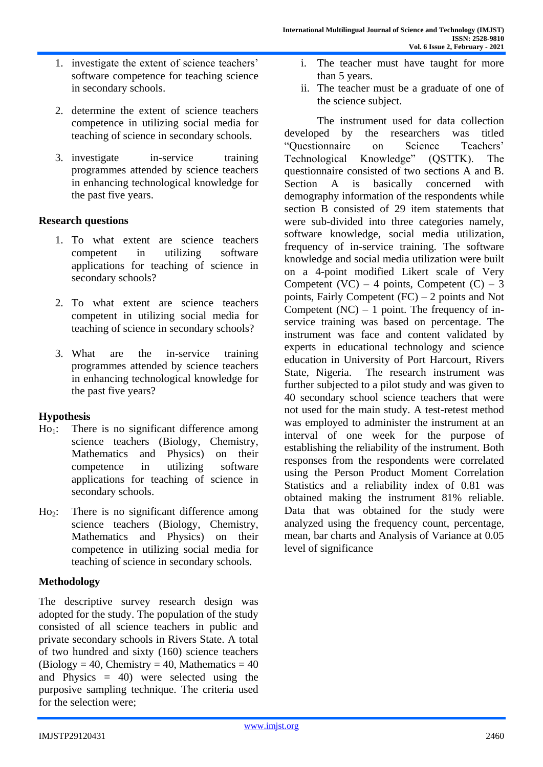- 1. investigate the extent of science teachers' software competence for teaching science in secondary schools.
- 2. determine the extent of science teachers competence in utilizing social media for teaching of science in secondary schools.
- 3. investigate in-service training programmes attended by science teachers in enhancing technological knowledge for the past five years.

#### **Research questions**

- 1. To what extent are science teachers competent in utilizing software applications for teaching of science in secondary schools?
- 2. To what extent are science teachers competent in utilizing social media for teaching of science in secondary schools?
- 3. What are the in-service training programmes attended by science teachers in enhancing technological knowledge for the past five years?

### **Hypothesis**

- $Ho<sub>1</sub>:$  There is no significant difference among science teachers (Biology, Chemistry, Mathematics and Physics) on their competence in utilizing software applications for teaching of science in secondary schools.
- Ho2: There is no significant difference among science teachers (Biology, Chemistry, Mathematics and Physics) on their competence in utilizing social media for teaching of science in secondary schools.

#### **Methodology**

The descriptive survey research design was adopted for the study. The population of the study consisted of all science teachers in public and private secondary schools in Rivers State. A total of two hundred and sixty (160) science teachers  $(Biology = 40, Chemistry = 40, Mathematics = 40)$ and Physics = 40) were selected using the purposive sampling technique. The criteria used for the selection were;

- i. The teacher must have taught for more than 5 years.
- ii. The teacher must be a graduate of one of the science subject.

The instrument used for data collection developed by the researchers was titled "Questionnaire on Science Teachers'<br>Technological Knowledge" (OSTTK). The Technological Knowledge" (QSTTK). The questionnaire consisted of two sections A and B. Section A is basically concerned with demography information of the respondents while section B consisted of 29 item statements that were sub-divided into three categories namely, software knowledge, social media utilization, frequency of in-service training. The software knowledge and social media utilization were built on a 4-point modified Likert scale of Very Competent  $(VC) - 4$  points, Competent  $(C) - 3$ points, Fairly Competent (FC) – 2 points and Not Competent  $(NC) - 1$  point. The frequency of inservice training was based on percentage. The instrument was face and content validated by experts in educational technology and science education in University of Port Harcourt, Rivers State, Nigeria. The research instrument was further subjected to a pilot study and was given to 40 secondary school science teachers that were not used for the main study. A test-retest method was employed to administer the instrument at an interval of one week for the purpose of establishing the reliability of the instrument. Both responses from the respondents were correlated using the Person Product Moment Correlation Statistics and a reliability index of 0.81 was obtained making the instrument 81% reliable. Data that was obtained for the study were analyzed using the frequency count, percentage, mean, bar charts and Analysis of Variance at 0.05 level of significance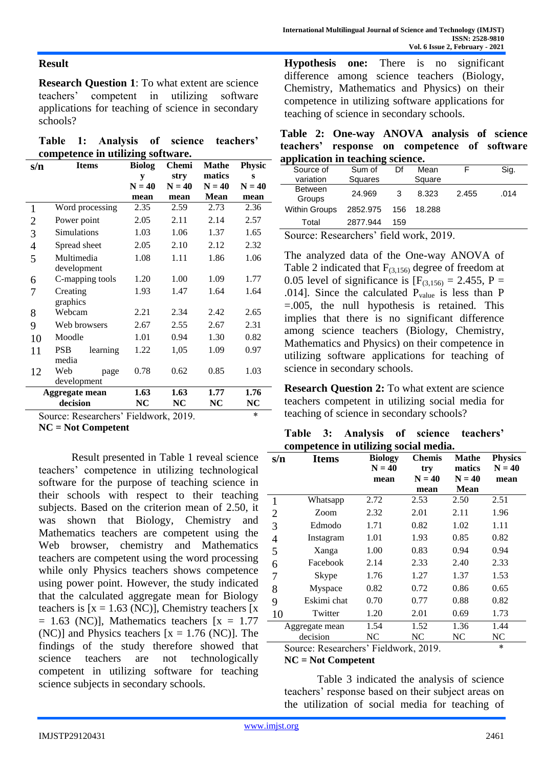### **Result**

**Research Question 1**: To what extent are science teachers' competent in utilizing software applications for teaching of science in secondary schools?

|  | Table 1: Analysis of science teachers' |  |  |
|--|----------------------------------------|--|--|
|  | competence in utilizing software.      |  |  |

| s/n            | <b>Items</b>                          | <b>Biolog</b> | Chemi    | Mathe       | <b>Physic</b> |
|----------------|---------------------------------------|---------------|----------|-------------|---------------|
|                |                                       | y             | stry     | matics      | S             |
|                |                                       | $N = 40$      | $N = 40$ | $N = 40$    | $N = 40$      |
|                |                                       | mean          | mean     | <b>Mean</b> | mean          |
| $\mathbf{1}$   | Word processing                       | 2.35          | 2.59     | 2.73        | 2.36          |
| $\overline{2}$ | Power point                           | 2.05          | 2.11     | 2.14        | 2.57          |
| 3              | Simulations                           | 1.03          | 1.06     | 1.37        | 1.65          |
| 4              | Spread sheet                          | 2.05          | 2.10     | 2.12        | 2.32          |
| 5              | Multimedia                            | 1.08          | 1.11     | 1.86        | 1.06          |
|                | development                           |               |          |             |               |
| 6              | C-mapping tools                       | 1.20          | 1.00     | 1.09        | 1.77          |
| 7              | Creating                              | 1.93          | 1.47     | 1.64        | 1.64          |
|                | graphics                              |               |          |             |               |
| 8              | Webcam                                | 2.21          | 2.34     | 2.42        | 2.65          |
| 9              | Web browsers                          | 2.67          | 2.55     | 2.67        | 2.31          |
| 10             | Moodle                                | 1.01          | 0.94     | 1.30        | 0.82          |
| 11             | <b>PSB</b><br>learning                | 1.22          | 1,05     | 1.09        | 0.97          |
|                | media                                 |               |          |             |               |
| 12             | Web<br>page                           | 0.78          | 0.62     | 0.85        | 1.03          |
|                | development                           |               |          |             |               |
|                | Aggregate mean                        | 1.63          | 1.63     | 1.77        | 1.76          |
|                | decision                              | NC            | NC       | NC          | NC            |
|                | Source: Researchers' Fieldwork, 2019. |               |          |             | $\ast$        |

**NC = Not Competent**

Result presented in Table 1 reveal science teachers' competence in utilizing technological software for the purpose of teaching science in their schools with respect to their teaching subjects. Based on the criterion mean of 2.50, it was shown that Biology, Chemistry and Mathematics teachers are competent using the Web browser, chemistry and Mathematics teachers are competent using the word processing while only Physics teachers shows competence using power point. However, the study indicated that the calculated aggregate mean for Biology teachers is  $[x = 1.63$  (NC)], Chemistry teachers  $\overline{x}$  $= 1.63$  (NC)], Mathematics teachers  $[x = 1.77]$ (NC)] and Physics teachers  $[x = 1.76$  (NC)]. The findings of the study therefore showed that science teachers are not technologically competent in utilizing software for teaching science subjects in secondary schools.

**Hypothesis one:** There is no significant difference among science teachers (Biology, Chemistry, Mathematics and Physics) on their competence in utilizing software applications for teaching of science in secondary schools.

**Table 2: One-way ANOVA analysis of science teachers' response on competence of software application in teaching science.**

| "                        |          |     |        |       |      |
|--------------------------|----------|-----|--------|-------|------|
| Source of                | Sum of   | Df  | Mean   |       | Sig. |
| variation                | Squares  |     | Square |       |      |
| <b>Between</b><br>Groups | 24.969   | 3   | 8.323  | 2.455 | .014 |
| <b>Within Groups</b>     | 2852.975 | 156 | 18.288 |       |      |
| Total                    | 2877.944 | 159 |        |       |      |
|                          | $\sim$   | .   |        |       |      |

Source: Researchers' field work, 2019.

The analyzed data of the One-way ANOVA of Table 2 indicated that  $F_{(3,156)}$  degree of freedom at 0.05 level of significance is  $[F_{(3,156)} = 2.455, P =$ .014]. Since the calculated  $P_{value}$  is less than P =.005, the null hypothesis is retained. This implies that there is no significant difference among science teachers (Biology, Chemistry, Mathematics and Physics) on their competence in utilizing software applications for teaching of science in secondary schools.

**Research Question 2:** To what extent are science teachers competent in utilizing social media for teaching of science in secondary schools?

|  | Table 3: Analysis of science teachers' |  |  |
|--|----------------------------------------|--|--|
|  | competence in utilizing social media.  |  |  |

| s/n            | <b>Items</b>                                                                      | <b>Biology</b><br>$N = 40$ | <b>Chemis</b><br>try | Mathe<br>matics | <b>Physics</b><br>$N = 40$ |
|----------------|-----------------------------------------------------------------------------------|----------------------------|----------------------|-----------------|----------------------------|
|                |                                                                                   | mean                       | $N = 40$             | $N = 40$        | mean                       |
|                |                                                                                   |                            | mean                 | <b>Mean</b>     |                            |
| 1              | Whatsapp                                                                          | 2.72                       | 2.53                 | 2.50            | 2.51                       |
| $\overline{2}$ | Zoom                                                                              | 2.32                       | 2.01                 | 2.11            | 1.96                       |
| 3              | Edmodo                                                                            | 1.71                       | 0.82                 | 1.02            | 1.11                       |
| 4              | Instagram                                                                         | 1.01                       | 1.93                 | 0.85            | 0.82                       |
| 5              | Xanga                                                                             | 1.00                       | 0.83                 | 0.94            | 0.94                       |
| 6              | Facebook                                                                          | 2.14                       | 2.33                 | 2.40            | 2.33                       |
| 7              | <b>Skype</b>                                                                      | 1.76                       | 1.27                 | 1.37            | 1.53                       |
| 8              | Myspace                                                                           | 0.82                       | 0.72                 | 0.86            | 0.65                       |
| 9              | Eskimi chat                                                                       | 0.70                       | 0.77                 | 0.88            | 0.82                       |
| 10             | Twitter                                                                           | 1.20                       | 2.01                 | 0.69            | 1.73                       |
|                | Aggregate mean                                                                    | 1.54                       | 1.52                 | 1.36            | 1.44                       |
|                | decision                                                                          | NC                         | NC                   | NC              | NC                         |
|                | $S_{\text{out}}$ $D_{\text{asymalame}}$ , $E_{\text{a}}$ $A_{\text{turb}}$ , 2010 |                            |                      |                 | $\ast$                     |

Source: Researchers' Fieldwork, 2019. \*

#### **NC = Not Competent**

Table 3 indicated the analysis of science teachers' response based on their subject areas on the utilization of social media for teaching of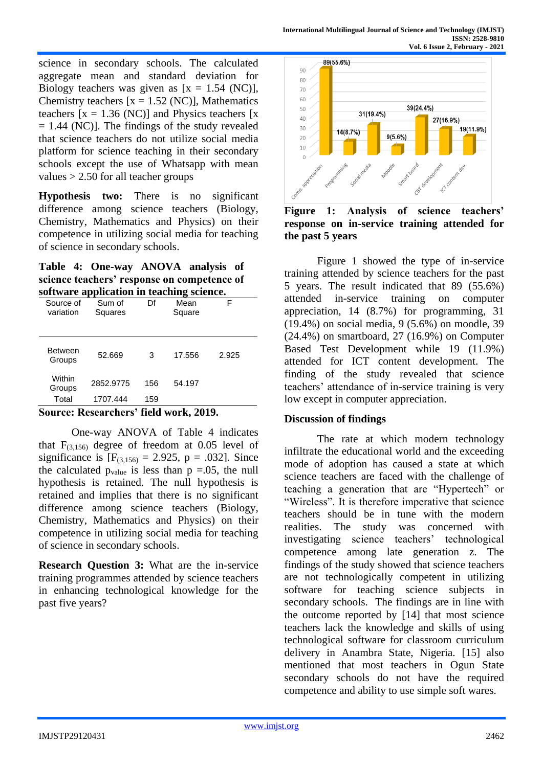science in secondary schools. The calculated aggregate mean and standard deviation for Biology teachers was given as  $[x = 1.54 \text{ (NC)}]$ , Chemistry teachers  $[x = 1.52$  (NC)], Mathematics teachers  $[x = 1.36$  (NC)] and Physics teachers  $[x]$  $= 1.44$  (NC)]. The findings of the study revealed that science teachers do not utilize social media platform for science teaching in their secondary schools except the use of Whatsapp with mean values > 2.50 for all teacher groups

**Hypothesis two:** There is no significant difference among science teachers (Biology, Chemistry, Mathematics and Physics) on their competence in utilizing social media for teaching of science in secondary schools.

**Table 4: One-way ANOVA analysis of science teachers' response on competence of software application in teaching science.**

|                                                        | r                 |     |                |       |  |  |
|--------------------------------------------------------|-------------------|-----|----------------|-------|--|--|
| Source of<br>variation                                 | Sum of<br>Squares | Df  | Mean<br>Square | F     |  |  |
| <b>Between</b><br>Groups                               | 52.669            | 3   | 17.556         | 2.925 |  |  |
| Within<br>Groups                                       | 2852.9775         | 156 | 54.197         |       |  |  |
| Total                                                  | 1707.444          | 159 |                |       |  |  |
| $\mathbf{C}$ overall<br>Descendent field week<br>901 A |                   |     |                |       |  |  |

**Source: Researchers' field work, 2019.**

One-way ANOVA of Table 4 indicates that  $F_{(3,156)}$  degree of freedom at 0.05 level of significance is  $[F_{(3,156)} = 2.925, p = .032]$ . Since the calculated  $p_{value}$  is less than  $p = .05$ , the null hypothesis is retained. The null hypothesis is retained and implies that there is no significant difference among science teachers (Biology, Chemistry, Mathematics and Physics) on their competence in utilizing social media for teaching of science in secondary schools.

**Research Question 3:** What are the in-service training programmes attended by science teachers in enhancing technological knowledge for the past five years?



**Figure 1: Analysis of science teachers' response on in-service training attended for the past 5 years**

Figure 1 showed the type of in-service training attended by science teachers for the past 5 years. The result indicated that 89 (55.6%) attended in-service training on computer appreciation, 14 (8.7%) for programming, 31 (19.4%) on social media, 9 (5.6%) on moodle, 39 (24.4%) on smartboard, 27 (16.9%) on Computer Based Test Development while 19 (11.9%) attended for ICT content development. The finding of the study revealed that science teachers' attendance of in-service training is very low except in computer appreciation.

### **Discussion of findings**

The rate at which modern technology infiltrate the educational world and the exceeding mode of adoption has caused a state at which science teachers are faced with the challenge of teaching a generation that are "Hypertech" or "Wireless". It is therefore imperative that science teachers should be in tune with the modern realities. The study was concerned with investigating science teachers' technological competence among late generation z. The findings of the study showed that science teachers are not technologically competent in utilizing software for teaching science subjects in secondary schools. The findings are in line with the outcome reported by [14] that most science teachers lack the knowledge and skills of using technological software for classroom curriculum delivery in Anambra State, Nigeria. [15] also mentioned that most teachers in Ogun State secondary schools do not have the required competence and ability to use simple soft wares.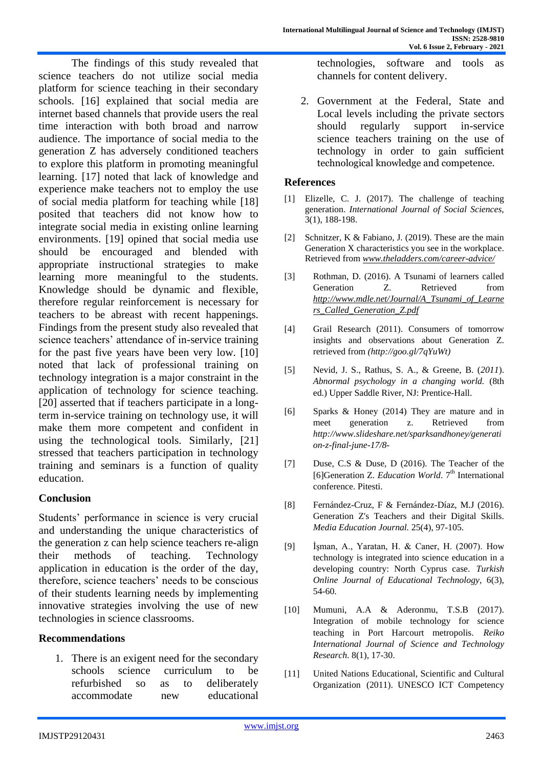The findings of this study revealed that science teachers do not utilize social media platform for science teaching in their secondary schools. [16] explained that social media are internet based channels that provide users the real time interaction with both broad and narrow audience. The importance of social media to the generation Z has adversely conditioned teachers to explore this platform in promoting meaningful learning. [17] noted that lack of knowledge and experience make teachers not to employ the use of social media platform for teaching while [18] posited that teachers did not know how to integrate social media in existing online learning environments. [19] opined that social media use should be encouraged and blended with appropriate instructional strategies to make learning more meaningful to the students. Knowledge should be dynamic and flexible, therefore regular reinforcement is necessary for teachers to be abreast with recent happenings. Findings from the present study also revealed that science teachers' attendance of in-service training for the past five years have been very low. [10] noted that lack of professional training on technology integration is a major constraint in the application of technology for science teaching. [20] asserted that if teachers participate in a longterm in-service training on technology use, it will make them more competent and confident in using the technological tools. Similarly, [21] stressed that teachers participation in technology training and seminars is a function of quality education.

### **Conclusion**

Students' performance in science is very crucial and understanding the unique characteristics of the generation z can help science teachers re-align their methods of teaching. Technology application in education is the order of the day, therefore, science teachers' needs to be conscious of their students learning needs by implementing innovative strategies involving the use of new technologies in science classrooms.

## **Recommendations**

1. There is an exigent need for the secondary schools science curriculum to be refurbished so as to deliberately accommodate new educational technologies, software and tools as channels for content delivery.

2. Government at the Federal, State and Local levels including the private sectors should regularly support in-service science teachers training on the use of technology in order to gain sufficient technological knowledge and competence.

#### **References**

- [1] Elizelle, C. J. (2017). The challenge of teaching generation. *International Journal of Social Sciences,* 3(1), 188-198.
- [2] Schnitzer, K & Fabiano, J. (2019). These are the main Generation X characteristics you see in the workplace. Retrieved from *[www.theladders.com/career-advice/](http://www.theladders.com/career-advice/)*
- [3] Rothman, D. (2016). A Tsunami of learners called Generation Z. Retrieved from *[http://www.mdle.net/Journal/A\\_Tsunami\\_of\\_Learne](http://www.mdle.net/Journal/A_Tsunami_of_Learners_Called_Generation_Z.pdf) [rs\\_Called\\_Generation\\_Z.pdf](http://www.mdle.net/Journal/A_Tsunami_of_Learners_Called_Generation_Z.pdf)*
- [4] Grail Research (2011). Consumers of tomorrow insights and observations about Generation Z. retrieved from *[\(http://goo.gl/7qYuWt\)](http://goo.gl/7qYuWt)*
- [5] Nevid*,* J. S., Rathus, S. A., & Greene, B. (*2011*). *Abnormal psychology in a changing world.* (8th ed.) Upper Saddle River, NJ: Prentice-Hall.
- [6] Sparks & Honey (2014) They are mature and in meet generation z. Retrieved from *[http://www.slideshare.net/sparksandhoney/generati](http://www.slideshare.net/sparksandhoney/generation-z-final-june-17/8-) [on-z-final-june-17/8-](http://www.slideshare.net/sparksandhoney/generation-z-final-june-17/8-)*
- [7] Duse, C.S & Duse, D (2016). The Teacher of the [6]Generation Z. *Education World*. 7<sup>th</sup> International conference. Pitesti.
- [8] Fernández-Cruz, F & Fernández-Díaz, M.J (2016). Generation Z's Teachers and their Digital Skills. *Media Education Journal.* 25(4), 97-105.
- [9] İşman, A., Yaratan, H. & Caner, H. (2007). How technology is integrated into science education in a developing country: North Cyprus case. *Turkish Online Journal of Educational Technology,* 6(3), 54-60.
- [10] Mumuni, A.A & Aderonmu, T.S.B (2017). Integration of mobile technology for science teaching in Port Harcourt metropolis. *Reiko International Journal of Science and Technology Research*. 8(1), 17-30.
- [11] United Nations Educational, Scientific and Cultural Organization (2011). UNESCO ICT Competency